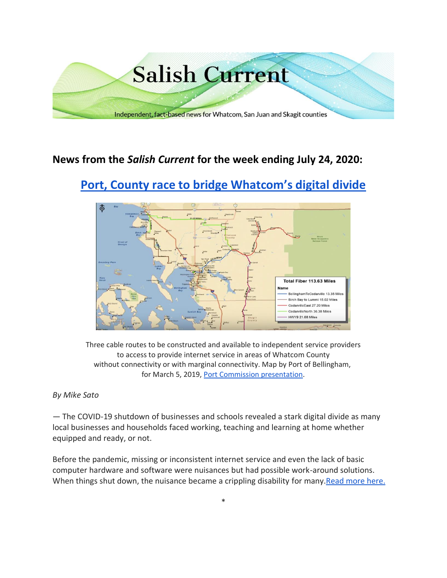

# **News from the** *Salish Current* **for the week ending July 24, 2020:**

# **[Port, County race to bridge Whatcom's digital divide](https://salish-current.org/2020/07/23/port-county-race-to-bridge-whatcoms-digital-divide/)**



Three cable routes to be constructed and available to independent service providers to access to provide internet service in areas of Whatcom County without connectivity or with marginal connectivity. Map by Port of Bellingham, for March 5, 2019, [Port Commission presentation.](https://www.youtube.com/watch?v=zBV2nFMTX1s&feature=youtu.be&t=1077)

## *By Mike Sato*

— The COVID-19 shutdown of businesses and schools revealed a stark digital divide as many local businesses and households faced working, teaching and learning at home whether equipped and ready, or not.

Before the pandemic, missing or inconsistent internet service and even the lack of basic computer hardware and software were nuisances but had possible work-around solutions. When things shut down, the nuisance became a crippling disability for many. Read more here.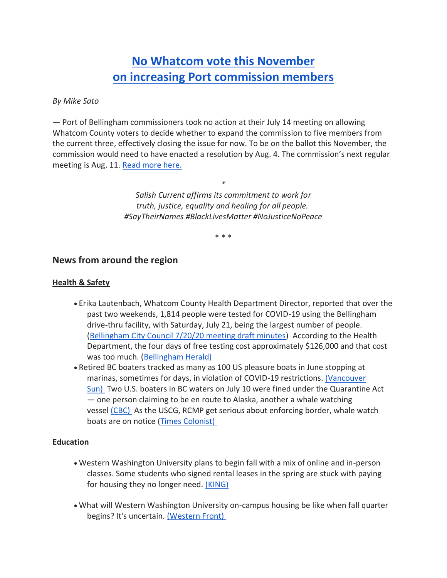# **[No Whatcom vote this November](https://salish-current.org/2020/07/24/no-whatcom-vote-this-november-on-increasing-port-commission-members/) [on increasing Port commission members](https://salish-current.org/2020/07/24/no-whatcom-vote-this-november-on-increasing-port-commission-members/)**

#### *By Mike Sato*

— Port of Bellingham commissioners took no action at their July 14 meeting on allowing Whatcom County voters to decide whether to expand the commission to five members from the current three, effectively closing the issue for now. To be on the ballot this November, the commission would need to have enacted a resolution by Aug. 4. The commission's next regular meeting is Aug. 11. [Read more here.](https://salish-current.org/2020/07/24/no-whatcom-vote-this-november-on-increasing-port-commission-members/)

> *\* Salish Current affirms its commitment to work for truth, justice, equality and healing for all people. #SayTheirNames #BlackLivesMatter #NoJusticeNoPeace*

> > \* \* \*

## **News from around the region**

#### **Health & Safety**

- Erika Lautenbach, Whatcom County Health Department Director, reported that over the past two weekends, 1,814 people were tested for COVID-19 using the Bellingham drive-thru facility, with Saturday, July 21, being the largest number of people. [\(Bellingham City Council 7/20/20 meeting draft minutes\)](https://meetings.cob.org/Meetings/ViewMeeting?id=2267&doctype=3) According to the Health Department, the four days of free testing cost approximately \$126,000 and that cost was too much. [\(Bellingham Herald\)](https://www.bellinghamherald.com/news/coronavirus/article244443877.html)
- Retired BC boaters tracked as many as 100 US pleasure boats in June stopping at marinas, sometimes for days, in violation of COVID-19 restrictions. [\(Vancouver](https://vancouversun.com/news/local-news/covid-19-u-s-vessels-docking-in-canadian-waters-against-border-rules-say-b-c-boaters)  [Sun\)](https://vancouversun.com/news/local-news/covid-19-u-s-vessels-docking-in-canadian-waters-against-border-rules-say-b-c-boaters) Two U.S. boaters in BC waters on July 10 were fined under the Quarantine Act — one person claiming to be en route to Alaska, another a whale watching vessel [\(CBC\)](https://www.cbc.ca/news/canada/british-columbia/rcmp-quarantine-act-fines-1.5658193) As the USCG, RCMP get serious about enforcing border, whale watch boats are on notice [\(Times Colonist\)](https://www.timescolonist.com/news/local/whale-watching-outfits-warned-on-border-bending-1.24175630)

#### **Education**

- Western Washington University plans to begin fall with a mix of online and in-person classes. Some students who signed rental leases in the spring are stuck with paying for housing they no longer need. [\(KING\)](https://www.king5.com/article/news/health/coronavirus/wwu-student-stuck-paying-for-an-apartment-he-doesnt-need/281-9934a0b2-74dc-4e3c-b069-9e41d0d68db5)
- What will Western Washington University on-campus housing be like when fall quarter begins? It's uncertain. [\(Western Front\)](https://www.westernfrontonline.com/2020/07/19/fall-2020-what-will-wwu-housing-look-like/)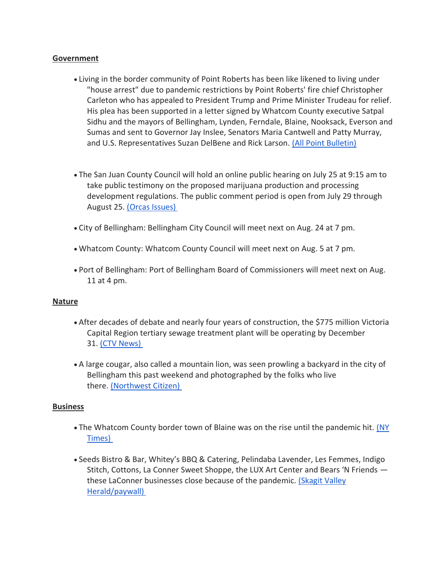#### **Government**

- Living in the border community of Point Roberts has been like likened to living under "house arrest" due to pandemic restrictions by Point Roberts' fire chief Christopher Carleton who has appealed to President Trump and Prime Minister Trudeau for relief. His plea has been supported in a letter signed by Whatcom County executive Satpal Sidhu and the mayors of Bellingham, Lynden, Ferndale, Blaine, Nooksack, Everson and Sumas and sent to Governor Jay Inslee, Senators Maria Cantwell and Patty Murray, and U.S. Representatives Suzan DelBene and Rick Larson. [\(All Point Bulletin\)](https://www.allpointbulletin.com/stories/fire-chief-article,11057)
- The San Juan County Council will hold an online public hearing on July 25 at 9:15 am to take public testimony on the proposed marijuana production and processing development regulations. The public comment period is open from July 29 through August 25. [\(Orcas Issues\)](https://orcasissues.com/county-council-sets-public-hearing-on-marijuana-regulations-for-august-25/)
- City of Bellingham: Bellingham City Council will meet next on Aug. 24 at 7 pm.
- Whatcom County: Whatcom County Council will meet next on Aug. 5 at 7 pm.
- Port of Bellingham: Port of Bellingham Board of Commissioners will meet next on Aug. 11 at 4 pm.

#### **Nature**

- After decades of debate and nearly four years of construction, the \$775 million Victoria Capital Region tertiary sewage treatment plant will be operating by December 31. [\(CTV News\)](https://vancouverisland.ctvnews.ca/775m-greater-victoria-sewage-treatment-plant-nears-completion-1.5027568?fbclid=IwAR2KXX4mS2M2tw9V7__P4WuTTc_5YMxBpS1llkknWH-GmVdEChLSWF2icGM)
- A large cougar, also called a mountain lion, was seen prowling a backyard in the city of Bellingham this past weekend and photographed by the folks who live there. [\(Northwest Citizen\)](https://nwcitizen.com/entry/cougar-inside-bellingham-yard)

#### **Business**

- The Whatcom County border town of Blaine was on the rise until the pandemic hit. [\(NY](https://www.nytimes.com/2020/07/18/us/coronavirus-canada-border-washington.html)  [Times\)](https://www.nytimes.com/2020/07/18/us/coronavirus-canada-border-washington.html)
- Seeds Bistro & Bar, Whitey's BBQ & Catering, Pelindaba Lavender, Les Femmes, Indigo Stitch, Cottons, La Conner Sweet Shoppe, the LUX Art Center and Bears 'N Friends these LaConner businesses close because of the pandemic. [\(Skagit Valley](https://www.goskagit.com/news/business/la-conner-downtown-losing-nine-businesses/article_bb925ff7-461c-5f50-ab0f-beb88aa864ed.html)  [Herald/paywall\)](https://www.goskagit.com/news/business/la-conner-downtown-losing-nine-businesses/article_bb925ff7-461c-5f50-ab0f-beb88aa864ed.html)